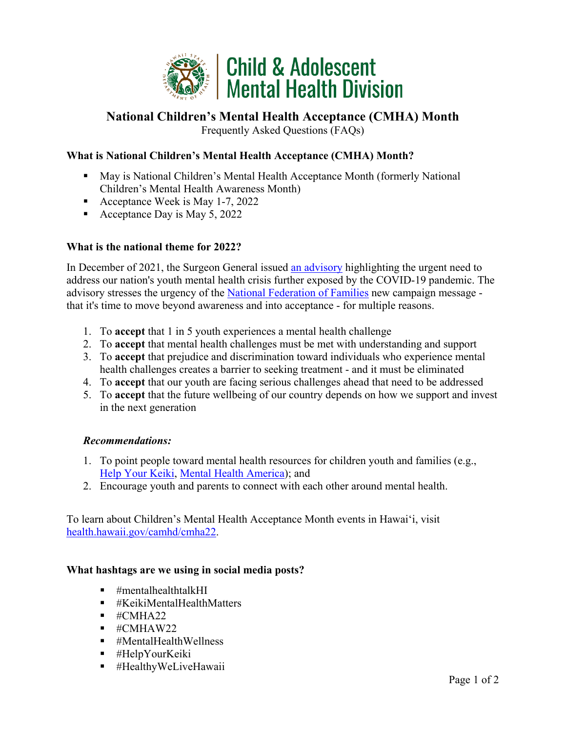

# **National Children's Mental Health Acceptance (CMHA) Month**

Frequently Asked Questions (FAQs)

# **What is National Children's Mental Health Acceptance (CMHA) Month?**

- May is National Children's Mental Health Acceptance Month (formerly National Children's Mental Health Awareness Month)
- Acceptance Week is May 1-7, 2022
- Acceptance Day is May 5, 2022

## **What is the national theme for 2022?**

In December of 2021, the Surgeon General issued [an advisory](https://www.hhs.gov/about/news/2021/12/07/us-surgeon-general-issues-advisory-on-youth-mental-health-crisis-further-exposed-by-covid-19-pandemic.html) highlighting the urgent need to address our nation's youth mental health crisis further exposed by the COVID-19 pandemic. The advisory stresses the urgency of the [National Federation of Families](https://www.ffcmh.org/awarenessweek) new campaign message that it's time to move beyond awareness and into acceptance - for multiple reasons.

- 1. To **accept** that 1 in 5 youth experiences a mental health challenge
- 2. To **accept** that mental health challenges must be met with understanding and support
- 3. To **accept** that prejudice and discrimination toward individuals who experience mental health challenges creates a barrier to seeking treatment - and it must be eliminated
- 4. To **accept** that our youth are facing serious challenges ahead that need to be addressed
- 5. To **accept** that the future wellbeing of our country depends on how we support and invest in the next generation

# *Recommendations:*

- 1. To point people toward mental health resources for children youth and families (e.g., [Help Your Keiki,](https://www.helpyourkeiki.com/) [Mental Health America\)](https://mentalhealthhawaii.org/); and
- 2. Encourage youth and parents to connect with each other around mental health.

To learn about Children's Mental Health Acceptance Month events in Hawaiʻi, visit [health.hawaii.gov/camhd/cmha22.](https://health.hawaii.gov/camhd/cmha22/)

#### **What hashtags are we using in social media posts?**

- $\blacksquare$  #mentalhealthtalkHI
- $\blacksquare$  #KeikiMentalHealthMatters
- $\blacksquare$  #CMHA22
- $\blacksquare$  #CMHAW22
- #MentalHealthWellness
- #HelpYourKeiki
- #HealthyWeLiveHawaii